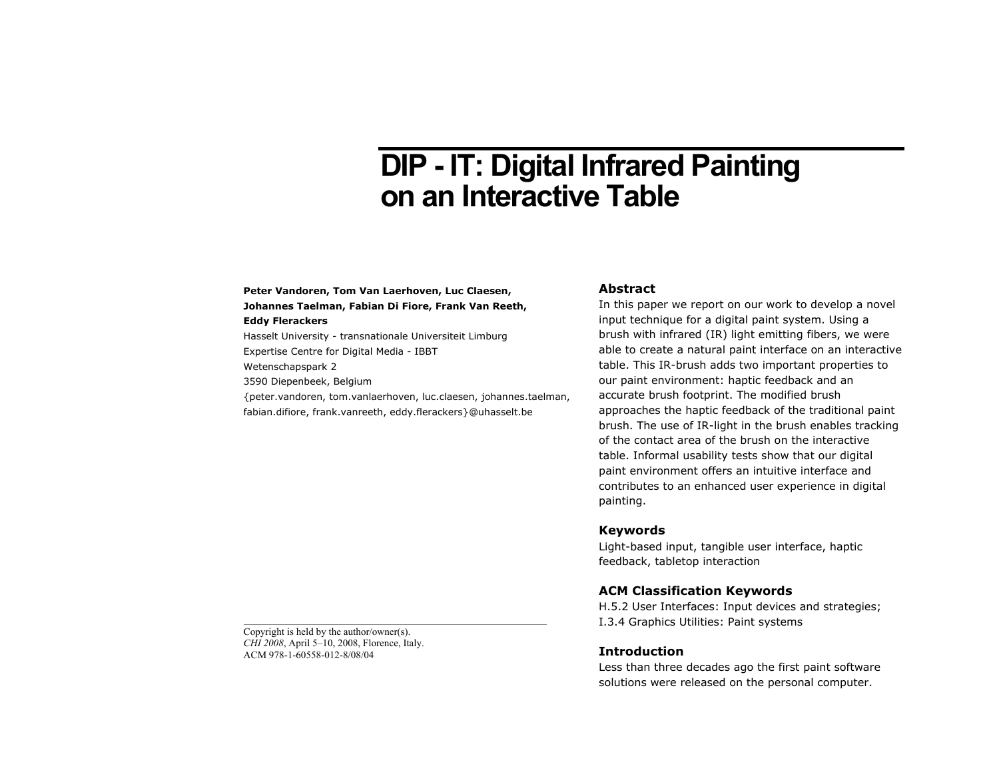# **DIP - IT: Digital Infrared Painting on an Interactive Table**

# **Peter Vandoren, Tom Van Laerhoven, Luc Claesen, Johannes Taelman, Fabian Di Fiore, Frank Van Reeth,**

#### **Eddy Flerackers**

Hasselt University - transnationale Universiteit Limburg Expertise Centre for Digital Media - IBBT

Wetenschapspark 2

3590 Diepenbeek, Belgium

{peter.vandoren, tom.vanlaerhoven, luc.claesen, johannes.taelman, fabian.difiore, frank.vanreeth, eddy.flerackers}@uhasselt.be

## **Abstract**

In this paper we report on our work to develop a novel input technique for a digital paint system. Using a brush with infrared (IR) light emitting fibers, we were able to create a natural paint interface on an interactive table. This IR-brush adds two important properties to our paint environment: haptic feedback and an accurate brush footprint. The modified brush approaches the haptic feedback of the traditional paint brush. The use of IR-light in the brush enables tracking of the contact area of the brush on the interactive table. Informal usability tests show that our digital paint environment offers an intuitive interface and contributes to an enhanced user experience in digital painting.

## **Keywords**

Light-based input, tangible user interface, haptic feedback, tabletop interaction

## **ACM Classification Keywords**

H.5.2 User Interfaces: Input devices and strategies; I.3.4 Graphics Utilities: Paint systems

## **Introduction**

Less than three decades ago the first paint software solutions were released on the personal computer.

Copyright is held by the author/owner(s). *CHI 2008*, April 5–10, 2008, Florence, Italy. ACM 978-1-60558-012-8/08/04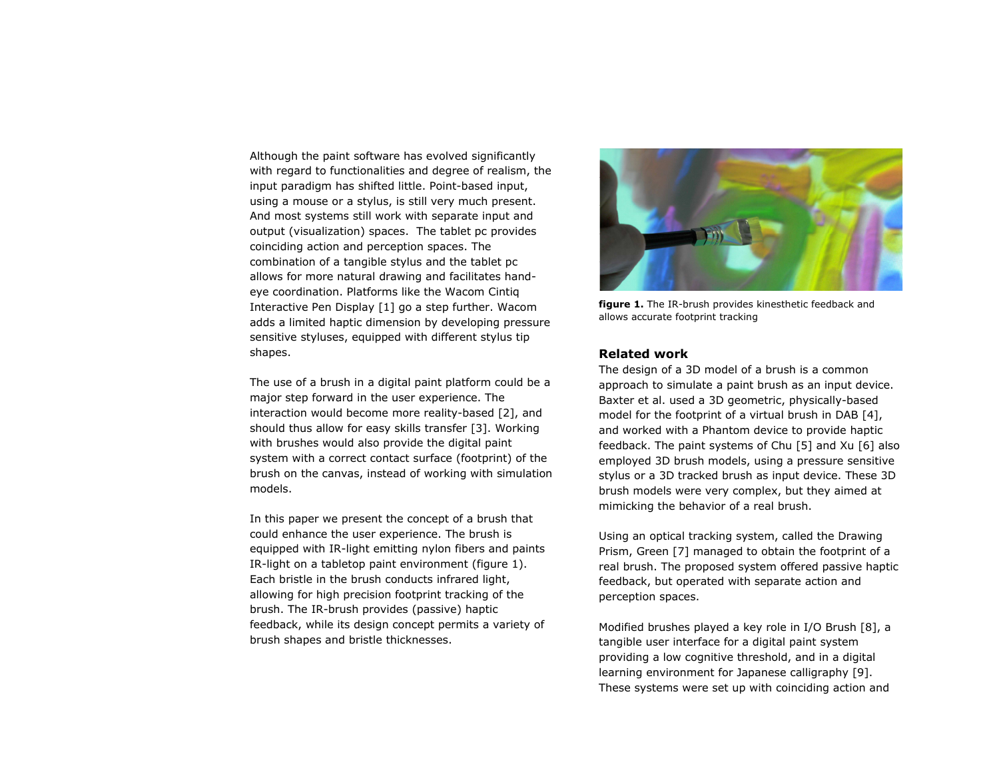Although the paint software has evolved significantly with regard to functionalities and degree of realism, the input paradigm has shifted little. Point-based input, using a mouse or a stylus, is still very much present. And most systems still work with separate input and output (visualization) spaces. The tablet pc provides coinciding action and perception spaces. The combination of a tangible stylus and the tablet pc allows for more natural drawing and facilitates handeye coordination. Platforms like the Wacom Cintiq Interactive Pen Display [1] go a step further. Wacom adds a limited haptic dimension by developing pressure sensitive styluses, equipped with different stylus tip shapes.

The use of a brush in a digital paint platform could be a major step forward in the user experience. The interaction would become more reality-based [2], and should thus allow for easy skills transfer [3]. Working with brushes would also provide the digital paint system with a correct contact surface (footprint) of the brush on the canvas, instead of working with simulation models.

In this paper we present the concept of a brush that could enhance the user experience. The brush is equipped with IR-light emitting nylon fibers and paints IR-light on a tabletop paint environment (figure 1). Each bristle in the brush conducts infrared light, allowing for high precision footprint tracking of the brush. The IR-brush provides (passive) haptic feedback, while its design concept permits a variety of brush shapes and bristle thicknesses.



**figure 1.** The IR-brush provides kinesthetic feedback and allows accurate footprint tracking

# **Related work**

The design of a 3D model of a brush is a common approach to simulate a paint brush as an input device. Baxter et al. used a 3D geometric, physically-based model for the footprint of a virtual brush in DAB [4], and worked with a Phantom device to provide haptic feedback. The paint systems of Chu [5] and Xu [6] also employed 3D brush models, using a pressure sensitive stylus or a 3D tracked brush as input device. These 3D brush models were very complex, but they aimed at mimicking the behavior of a real brush.

Using an optical tracking system, called the Drawing Prism, Green [7] managed to obtain the footprint of a real brush. The proposed system offered passive haptic feedback, but operated with separate action and perception spaces.

Modified brushes played a key role in I/O Brush [8], a tangible user interface for a digital paint system providing a low cognitive threshold, and in a digital learning environment for Japanese calligraphy [9]. These systems were set up with coinciding action and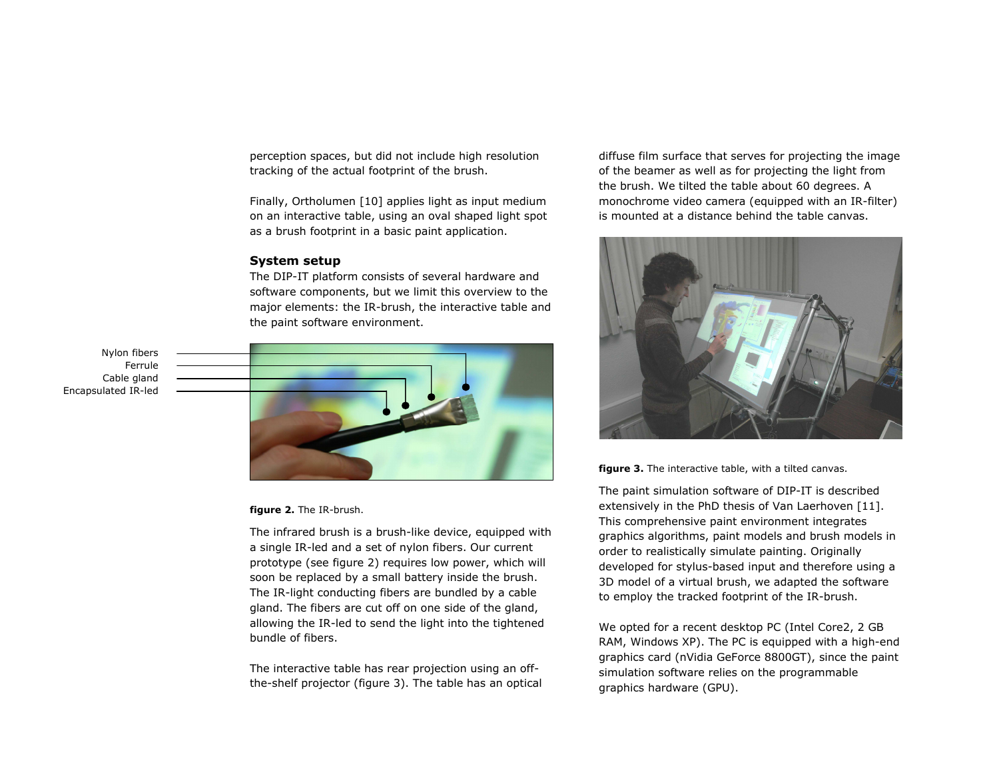perception spaces, but did not include high resolution tracking of the actual footprint of the brush.

Finally, Ortholumen [10] applies light as input medium on an interactive table, using an oval shaped light spot as a brush footprint in a basic paint application.

# **System setup**

The DIP-IT platform consists of several hardware and software components, but we limit this overview to the major elements: the IR-brush, the interactive table and the paint software environment.

Nylon fibers Ferrule Cable gland Encapsulated IR-led



#### **figure 2.** The IR-brush.

The infrared brush is a brush-like device, equipped with a single IR-led and a set of nylon fibers. Our current prototype (see figure 2) requires low power, which will soon be replaced by a small battery inside the brush. The IR-light conducting fibers are bundled by a cable gland. The fibers are cut off on one side of the gland, allowing the IR-led to send the light into the tightened bundle of fibers.

The interactive table has rear projection using an offthe-shelf projector (figure 3). The table has an optical diffuse film surface that serves for projecting the image of the beamer as well as for projecting the light from the brush. We tilted the table about 60 degrees. A monochrome video camera (equipped with an IR-filter) is mounted at a distance behind the table canvas.



**figure 3.** The interactive table, with a tilted canvas.

The paint simulation software of DIP-IT is described extensively in the PhD thesis of Van Laerhoven [11]. This comprehensive paint environment integrates graphics algorithms, paint models and brush models in order to realistically simulate painting. Originally developed for stylus-based input and therefore using a 3D model of a virtual brush, we adapted the software to employ the tracked footprint of the IR-brush.

We opted for a recent desktop PC (Intel Core2, 2 GB RAM, Windows XP). The PC is equipped with a high-end graphics card (nVidia GeForce 8800GT), since the paint simulation software relies on the programmable graphics hardware (GPU).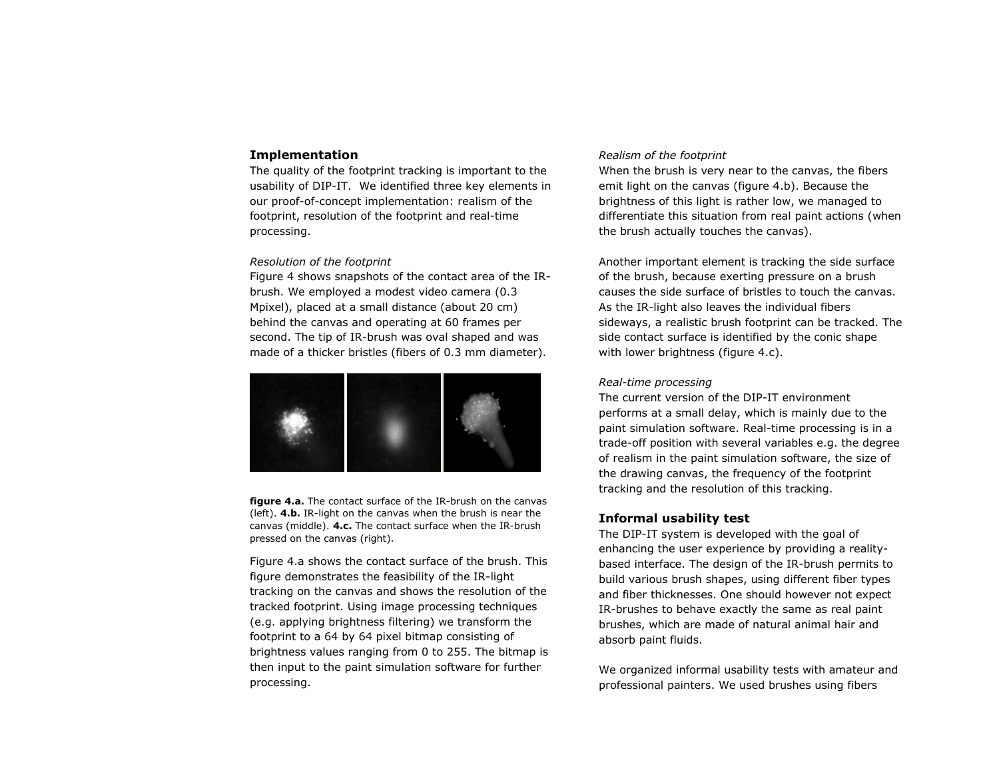# **Implementation**

The quality of the footprint tracking is important to the usability of DIP-IT. We identified three key elements in our proof-of-concept implementation: realism of the footprint, resolution of the footprint and real-time processing.

#### *Resolution of the footprint*

Figure 4 shows snapshots of the contact area of the IRbrush. We employed a modest video camera (0.3 Mpixel), placed at a small distance (about 20 cm) behind the canvas and operating at 60 frames per second. The tip of IR-brush was oval shaped and was made of a thicker bristles (fibers of 0.3 mm diameter).



**figure 4.a.** The contact surface of the IR-brush on the canvas (left). **4.b.** IR-light on the canvas when the brush is near the canvas (middle). **4.c.** The contact surface when the IR-brush pressed on the canvas (right).

Figure 4.a shows the contact surface of the brush. This figure demonstrates the feasibility of the IR-light tracking on the canvas and shows the resolution of the tracked footprint. Using image processing techniques (e.g. applying brightness filtering) we transform the footprint to a 64 by 64 pixel bitmap consisting of brightness values ranging from 0 to 255. The bitmap is then input to the paint simulation software for further processing.

## *Realism of the footprint*

When the brush is very near to the canvas, the fibers emit light on the canvas (figure 4.b). Because the brightness of this light is rather low, we managed to differentiate this situation from real paint actions (when the brush actually touches the canvas).

Another important element is tracking the side surface of the brush, because exerting pressure on a brush causes the side surface of bristles to touch the canvas. As the IR-light also leaves the individual fibers sideways, a realistic brush footprint can be tracked. The side contact surface is identified by the conic shape with lower brightness (figure 4.c).

# *Real-time processing*

The current version of the DIP-IT environment performs at a small delay, which is mainly due to the paint simulation software. Real-time processing is in a trade-off position with several variables e.g. the degree of realism in the paint simulation software, the size of the drawing canvas, the frequency of the footprint tracking and the resolution of this tracking.

# **Informal usability test**

The DIP-IT system is developed with the goal of enhancing the user experience by providing a realitybased interface. The design of the IR-brush permits to build various brush shapes, using different fiber types and fiber thicknesses. One should however not expect IR-brushes to behave exactly the same as real paint brushes, which are made of natural animal hair and absorb paint fluids.

We organized informal usability tests with amateur and professional painters. We used brushes using fibers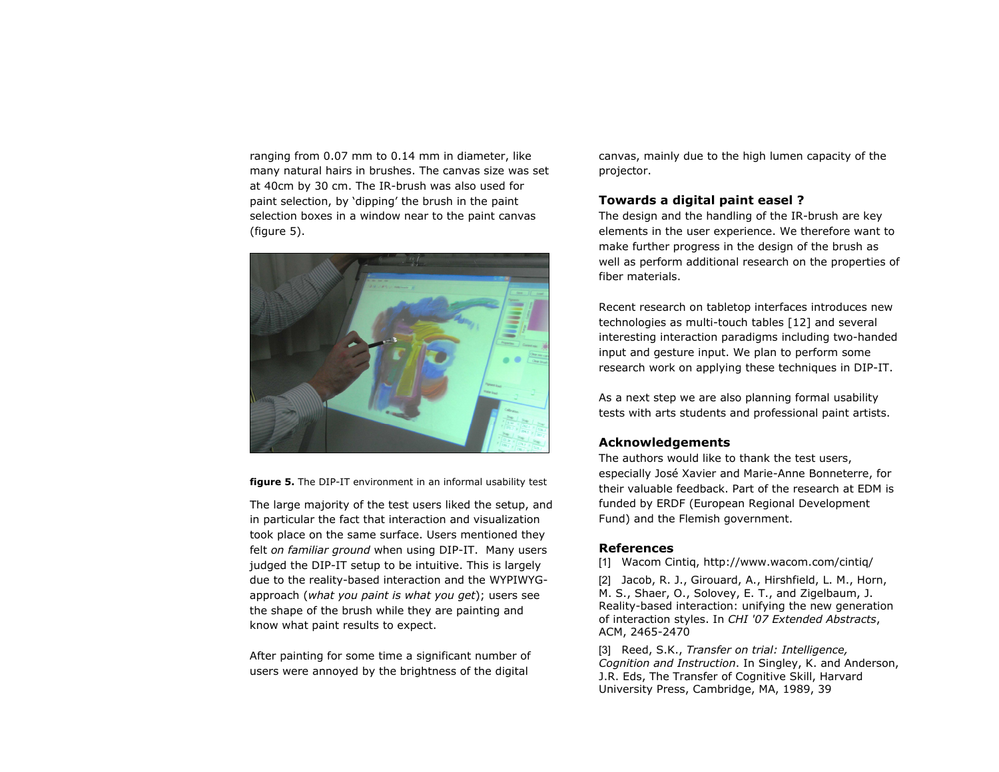ranging from 0.07 mm to 0.14 mm in diameter, like many natural hairs in brushes. The canvas size was set at 40cm by 30 cm. The IR-brush was also used for paint selection, by 'dipping' the brush in the paint selection boxes in a window near to the paint canvas (figure 5).



**figure 5.** The DIP-IT environment in an informal usability test

The large majority of the test users liked the setup, and in particular the fact that interaction and visualization took place on the same surface. Users mentioned they felt *on familiar ground* when using DIP-IT. Many users judged the DIP-IT setup to be intuitive. This is largely due to the reality-based interaction and the WYPIWYGapproach (*what you paint is what you get*); users see the shape of the brush while they are painting and know what paint results to expect.

After painting for some time a significant number of users were annoyed by the brightness of the digital

canvas, mainly due to the high lumen capacity of the projector.

# **Towards a digital paint easel ?**

The design and the handling of the IR-brush are key elements in the user experience. We therefore want to make further progress in the design of the brush as well as perform additional research on the properties of fiber materials.

Recent research on tabletop interfaces introduces new technologies as multi-touch tables [12] and several interesting interaction paradigms including two-handed input and gesture input. We plan to perform some research work on applying these techniques in DIP-IT.

As a next step we are also planning formal usability tests with arts students and professional paint artists.

# **Acknowledgements**

The authors would like to thank the test users, especially José Xavier and Marie-Anne Bonneterre, for their valuable feedback. Part of the research at EDM is funded by ERDF (European Regional Development Fund) and the Flemish government.

## **References**

[1] Wacom Cintiq, http://www.wacom.com/cintiq/

[2] Jacob, R. J., Girouard, A., Hirshfield, L. M., Horn, M. S., Shaer, O., Solovey, E. T., and Zigelbaum, J. Reality-based interaction: unifying the new generation of interaction styles. In *CHI '07 Extended Abstracts*, ACM, 2465-2470

[3] Reed, S.K., *Transfer on trial: Intelligence, Cognition and Instruction*. In Singley, K. and Anderson, J.R. Eds, The Transfer of Cognitive Skill, Harvard University Press, Cambridge, MA, 1989, 39